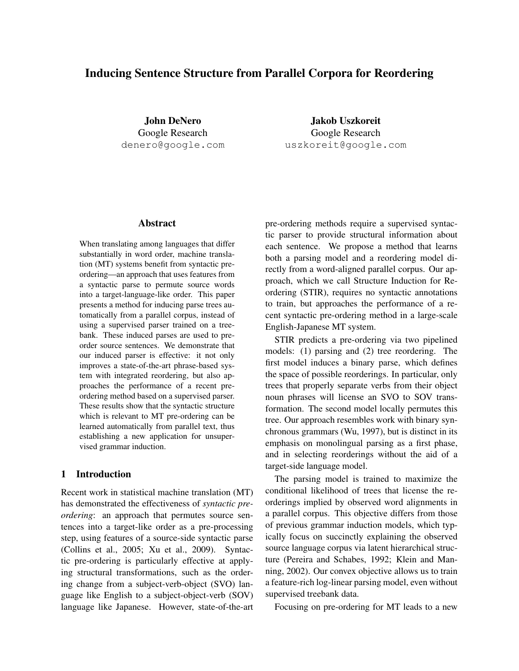# Inducing Sentence Structure from Parallel Corpora for Reordering

John DeNero Google Research denero@google.com

Jakob Uszkoreit Google Research uszkoreit@google.com

# Abstract

When translating among languages that differ substantially in word order, machine translation (MT) systems benefit from syntactic preordering—an approach that uses features from a syntactic parse to permute source words into a target-language-like order. This paper presents a method for inducing parse trees automatically from a parallel corpus, instead of using a supervised parser trained on a treebank. These induced parses are used to preorder source sentences. We demonstrate that our induced parser is effective: it not only improves a state-of-the-art phrase-based system with integrated reordering, but also approaches the performance of a recent preordering method based on a supervised parser. These results show that the syntactic structure which is relevant to MT pre-ordering can be learned automatically from parallel text, thus establishing a new application for unsupervised grammar induction.

# 1 Introduction

Recent work in statistical machine translation (MT) has demonstrated the effectiveness of *syntactic preordering*: an approach that permutes source sentences into a target-like order as a pre-processing step, using features of a source-side syntactic parse (Collins et al., 2005; Xu et al., 2009). Syntactic pre-ordering is particularly effective at applying structural transformations, such as the ordering change from a subject-verb-object (SVO) language like English to a subject-object-verb (SOV) language like Japanese. However, state-of-the-art pre-ordering methods require a supervised syntactic parser to provide structural information about each sentence. We propose a method that learns both a parsing model and a reordering model directly from a word-aligned parallel corpus. Our approach, which we call Structure Induction for Reordering (STIR), requires no syntactic annotations to train, but approaches the performance of a recent syntactic pre-ordering method in a large-scale English-Japanese MT system.

STIR predicts a pre-ordering via two pipelined models: (1) parsing and (2) tree reordering. The first model induces a binary parse, which defines the space of possible reorderings. In particular, only trees that properly separate verbs from their object noun phrases will license an SVO to SOV transformation. The second model locally permutes this tree. Our approach resembles work with binary synchronous grammars (Wu, 1997), but is distinct in its emphasis on monolingual parsing as a first phase, and in selecting reorderings without the aid of a target-side language model.

The parsing model is trained to maximize the conditional likelihood of trees that license the reorderings implied by observed word alignments in a parallel corpus. This objective differs from those of previous grammar induction models, which typically focus on succinctly explaining the observed source language corpus via latent hierarchical structure (Pereira and Schabes, 1992; Klein and Manning, 2002). Our convex objective allows us to train a feature-rich log-linear parsing model, even without supervised treebank data.

Focusing on pre-ordering for MT leads to a new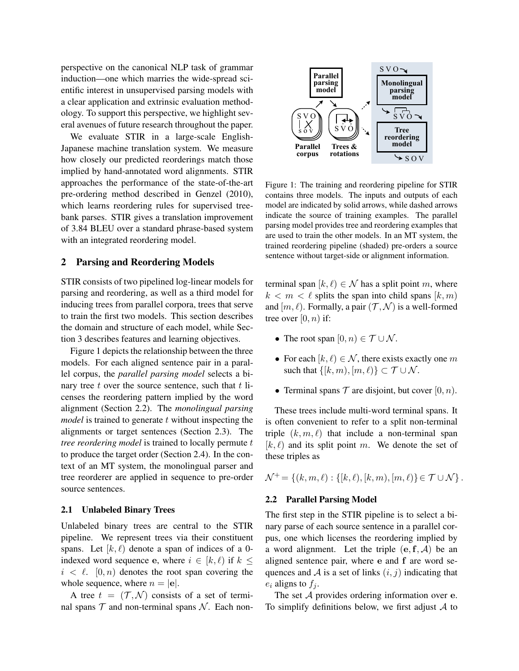perspective on the canonical NLP task of grammar induction—one which marries the wide-spread scientific interest in unsupervised parsing models with a clear application and extrinsic evaluation methodology. To support this perspective, we highlight several avenues of future research throughout the paper.

We evaluate STIR in a large-scale English-Japanese machine translation system. We measure how closely our predicted reorderings match those implied by hand-annotated word alignments. STIR approaches the performance of the state-of-the-art pre-ordering method described in Genzel (2010), which learns reordering rules for supervised treebank parses. STIR gives a translation improvement of 3.84 BLEU over a standard phrase-based system with an integrated reordering model.

# 2 Parsing and Reordering Models

STIR consists of two pipelined log-linear models for parsing and reordering, as well as a third model for inducing trees from parallel corpora, trees that serve to train the first two models. This section describes the domain and structure of each model, while Section 3 describes features and learning objectives.

Figure 1 depicts the relationship between the three models. For each aligned sentence pair in a parallel corpus, the *parallel parsing model* selects a binary tree  $t$  over the source sentence, such that  $t$  licenses the reordering pattern implied by the word alignment (Section 2.2). The *monolingual parsing model* is trained to generate t without inspecting the alignments or target sentences (Section 2.3). The *tree reordering model* is trained to locally permute t to produce the target order (Section 2.4). In the context of an MT system, the monolingual parser and tree reorderer are applied in sequence to pre-order source sentences.

### 2.1 Unlabeled Binary Trees

Unlabeled binary trees are central to the STIR pipeline. We represent trees via their constituent spans. Let  $[k, \ell)$  denote a span of indices of a 0indexed word sequence e, where  $i \in [k, \ell)$  if  $k <$  $i < \ell$ .  $[0, n)$  denotes the root span covering the whole sequence, where  $n = |e|$ .

A tree  $t = (\mathcal{T}, \mathcal{N})$  consists of a set of terminal spans  $T$  and non-terminal spans  $N$ . Each non-



Figure 1: The training and reordering pipeline for STIR contains three models. The inputs and outputs of each model are indicated by solid arrows, while dashed arrows indicate the source of training examples. The parallel parsing model provides tree and reordering examples that are used to train the other models. In an MT system, the trained reordering pipeline (shaded) pre-orders a source sentence without target-side or alignment information.

terminal span  $[k, \ell) \in \mathcal{N}$  has a split point m, where  $k < m < \ell$  splits the span into child spans  $[k, m]$ and  $[m, \ell)$ . Formally, a pair  $(\mathcal{T}, \mathcal{N})$  is a well-formed tree over  $[0, n)$  if:

- The root span  $[0, n) \in \mathcal{T} \cup \mathcal{N}$ .
- For each  $[k, \ell) \in \mathcal{N}$ , there exists exactly one m such that  $\{[k, m), [m, \ell)\} \subset \mathcal{T} \cup \mathcal{N}$ .
- Terminal spans  $\mathcal T$  are disjoint, but cover  $[0, n)$ .

These trees include multi-word terminal spans. It is often convenient to refer to a split non-terminal triple  $(k, m, \ell)$  that include a non-terminal span  $[k, l]$  and its split point m. We denote the set of these triples as

 $\mathcal{N}^+ = \{(k, m, \ell) : \{[k, \ell), [k, m), [m, \ell)\} \in \mathcal{T} \cup \mathcal{N}\}\.$ 

### 2.2 Parallel Parsing Model

The first step in the STIR pipeline is to select a binary parse of each source sentence in a parallel corpus, one which licenses the reordering implied by a word alignment. Let the triple  $(e, f, A)$  be an aligned sentence pair, where e and f are word sequences and  $A$  is a set of links  $(i, j)$  indicating that  $e_i$  aligns to  $f_i$ .

The set  $A$  provides ordering information over  $e$ . To simplify definitions below, we first adjust  $A$  to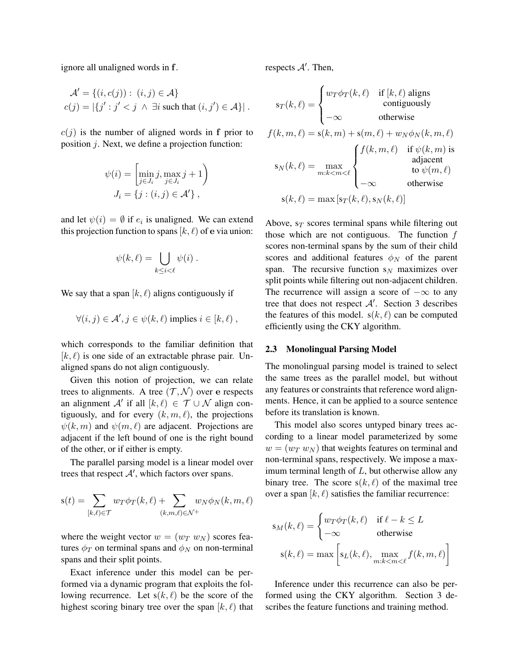ignore all unaligned words in f.

$$
\mathcal{A}' = \{(i, c(j)) : (i, j) \in \mathcal{A}\}
$$
  

$$
c(j) = |\{j' : j' < j \land \exists i \text{ such that } (i, j') \in \mathcal{A}\}|.
$$

 $c(j)$  is the number of aligned words in f prior to position j. Next, we define a projection function:

$$
\psi(i) = \left[\min_{j \in J_i} j, \max_{j \in J_i} j + 1\right)
$$

$$
J_i = \{j : (i, j) \in \mathcal{A}'\},\
$$

and let  $\psi(i) = \emptyset$  if  $e_i$  is unaligned. We can extend this projection function to spans  $[k, \ell)$  of e via union:

$$
\psi(k,\ell) = \bigcup_{k \leq i < \ell} \psi(i) \; .
$$

We say that a span  $[k, \ell)$  aligns contiguously if

$$
\forall (i,j) \in \mathcal{A}', j \in \psi(k,\ell) \text{ implies } i \in [k,\ell) ,
$$

which corresponds to the familiar definition that  $[k, l]$  is one side of an extractable phrase pair. Unaligned spans do not align contiguously.

Given this notion of projection, we can relate trees to alignments. A tree  $(\mathcal{T}, \mathcal{N})$  over e respects an alignment  $\mathcal{A}'$  if all  $[k, \ell) \in \mathcal{T} \cup \mathcal{N}$  align contiguously, and for every  $(k, m, \ell)$ , the projections  $\psi(k, m)$  and  $\psi(m, \ell)$  are adjacent. Projections are adjacent if the left bound of one is the right bound of the other, or if either is empty.

The parallel parsing model is a linear model over trees that respect  $A'$ , which factors over spans.

$$
\mathbf{s}(t) = \sum_{[k,\ell) \in \mathcal{T}} w_T \phi_T(k,\ell) + \sum_{(k,m,\ell) \in \mathcal{N}^+} w_N \phi_N(k,m,\ell)
$$

where the weight vector  $w = (w_T w_N)$  scores features  $\phi_T$  on terminal spans and  $\phi_N$  on non-terminal spans and their split points.

Exact inference under this model can be performed via a dynamic program that exploits the following recurrence. Let  $s(k, \ell)$  be the score of the highest scoring binary tree over the span  $[k, \ell)$  that respects  $A'$ . Then,

$$
s_T(k,\ell) = \begin{cases} w_T \phi_T(k,\ell) & \text{if } [k,\ell) \text{ aligns} \\ -\infty & \text{otherwise} \end{cases}
$$
  

$$
f(k,m,\ell) = s(k,m) + s(m,\ell) + w_N \phi_N(k,m,\ell)
$$
  

$$
s_N(k,\ell) = \max_{m:k < m < \ell} \begin{cases} f(k,m,\ell) & \text{if } \psi(k,m) \text{ is} \\ -\infty & \text{otherwise} \end{cases}
$$
  

$$
s(k,\ell) = \max [s_T(k,\ell), s_N(k,\ell)]
$$

Above,  $s_T$  scores terminal spans while filtering out those which are not contiguous. The function  $f$ scores non-terminal spans by the sum of their child scores and additional features  $\phi_N$  of the parent span. The recursive function  $s_N$  maximizes over split points while filtering out non-adjacent children. The recurrence will assign a score of  $-\infty$  to any tree that does not respect  $A'$ . Section 3 describes the features of this model.  $s(k, \ell)$  can be computed efficiently using the CKY algorithm.

## 2.3 Monolingual Parsing Model

The monolingual parsing model is trained to select the same trees as the parallel model, but without any features or constraints that reference word alignments. Hence, it can be applied to a source sentence before its translation is known.

This model also scores untyped binary trees according to a linear model parameterized by some  $w = (w_T w_N)$  that weights features on terminal and non-terminal spans, respectively. We impose a maximum terminal length of  $L$ , but otherwise allow any binary tree. The score  $s(k, \ell)$  of the maximal tree over a span  $[k, \ell)$  satisfies the familiar recurrence:

$$
s_M(k, \ell) = \begin{cases} w_T \phi_T(k, \ell) & \text{if } \ell - k \le L \\ -\infty & \text{otherwise} \end{cases}
$$

$$
s(k, \ell) = \max \left[ s_L(k, \ell), \max_{m:k < m < \ell} f(k, m, \ell) \right]
$$

Inference under this recurrence can also be performed using the CKY algorithm. Section 3 describes the feature functions and training method.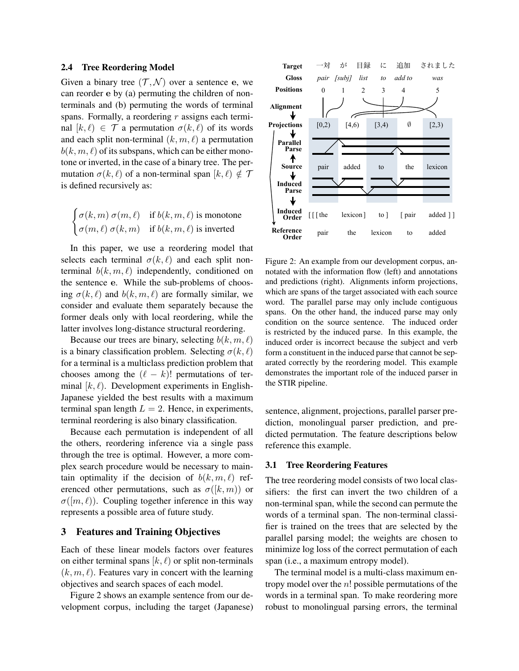#### 2.4 Tree Reordering Model

Given a binary tree  $(\mathcal{T}, \mathcal{N})$  over a sentence e, we can reorder e by (a) permuting the children of nonterminals and (b) permuting the words of terminal spans. Formally, a reordering  $r$  assigns each terminal  $[k, \ell) \in \mathcal{T}$  a permutation  $\sigma(k, \ell)$  of its words and each split non-terminal  $(k, m, \ell)$  a permutation  $b(k, m, \ell)$  of its subspans, which can be either monotone or inverted, in the case of a binary tree. The permutation  $\sigma(k, \ell)$  of a non-terminal span  $[k, \ell) \notin \mathcal{T}$ is defined recursively as:

$$
\begin{cases} \sigma(k,m) \sigma(m,\ell) & \text{if } b(k,m,\ell) \text{ is monotone} \\ \sigma(m,\ell) \sigma(k,m) & \text{if } b(k,m,\ell) \text{ is inverted} \end{cases}
$$

In this paper, we use a reordering model that selects each terminal  $\sigma(k, \ell)$  and each split nonterminal  $b(k, m, \ell)$  independently, conditioned on the sentence e. While the sub-problems of choosing  $\sigma(k, \ell)$  and  $b(k, m, \ell)$  are formally similar, we consider and evaluate them separately because the former deals only with local reordering, while the latter involves long-distance structural reordering.

Because our trees are binary, selecting  $b(k, m, \ell)$ is a binary classification problem. Selecting  $\sigma(k, \ell)$ for a terminal is a multiclass prediction problem that chooses among the  $(\ell - k)!$  permutations of terminal  $[k, \ell]$ . Development experiments in English-Japanese yielded the best results with a maximum terminal span length  $L = 2$ . Hence, in experiments, terminal reordering is also binary classification.

Because each permutation is independent of all the others, reordering inference via a single pass through the tree is optimal. However, a more complex search procedure would be necessary to maintain optimality if the decision of  $b(k, m, \ell)$  referenced other permutations, such as  $\sigma([k,m))$  or  $\sigma([m,\ell))$ . Coupling together inference in this way represents a possible area of future study.

# 3 Features and Training Objectives

Each of these linear models factors over features on either terminal spans  $[k, \ell)$  or split non-terminals  $(k, m, \ell)$ . Features vary in concert with the learning objectives and search spaces of each model.

Figure 2 shows an example sentence from our development corpus, including the target (Japanese)



Figure 2: An example from our development corpus, annotated with the information flow (left) and annotations and predictions (right). Alignments inform projections, which are spans of the target associated with each source word. The parallel parse may only include contiguous spans. On the other hand, the induced parse may only condition on the source sentence. The induced order is restricted by the induced parse. In this example, the induced order is incorrect because the subject and verb form a constituent in the induced parse that cannot be separated correctly by the reordering model. This example demonstrates the important role of the induced parser in the STIR pipeline.

sentence, alignment, projections, parallel parser prediction, monolingual parser prediction, and predicted permutation. The feature descriptions below reference this example.

## 3.1 Tree Reordering Features

The tree reordering model consists of two local classifiers: the first can invert the two children of a non-terminal span, while the second can permute the words of a terminal span. The non-terminal classifier is trained on the trees that are selected by the parallel parsing model; the weights are chosen to minimize log loss of the correct permutation of each span (i.e., a maximum entropy model).

The terminal model is a multi-class maximum entropy model over the  $n!$  possible permutations of the words in a terminal span. To make reordering more robust to monolingual parsing errors, the terminal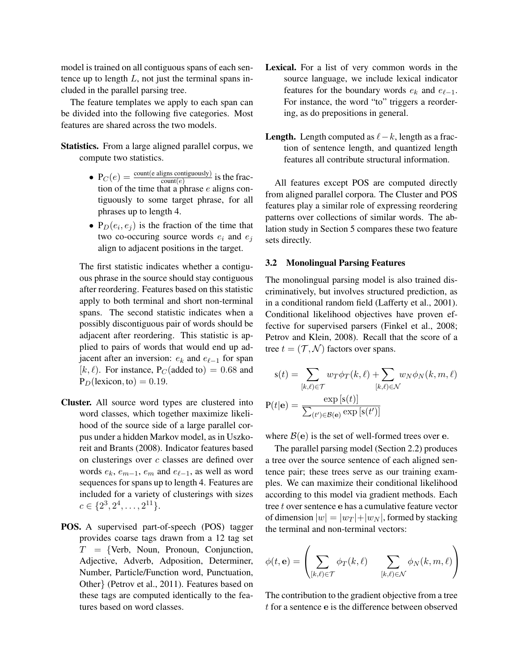model is trained on all contiguous spans of each sentence up to length  $L$ , not just the terminal spans included in the parallel parsing tree.

The feature templates we apply to each span can be divided into the following five categories. Most features are shared across the two models.

Statistics. From a large aligned parallel corpus, we compute two statistics.

- $P_C(e) = \frac{\text{count}(e \text{ aligns contiguously})}{\text{count}(e)}$  is the fraction of the time that a phrase  $e$  aligns contiguously to some target phrase, for all phrases up to length 4.
- $P_D(e_i, e_j)$  is the fraction of the time that two co-occuring source words  $e_i$  and  $e_j$ align to adjacent positions in the target.

The first statistic indicates whether a contiguous phrase in the source should stay contiguous after reordering. Features based on this statistic apply to both terminal and short non-terminal spans. The second statistic indicates when a possibly discontiguous pair of words should be adjacent after reordering. This statistic is applied to pairs of words that would end up adjacent after an inversion:  $e_k$  and  $e_{\ell-1}$  for span  $[k, l]$ . For instance, P<sub>C</sub>(added to) = 0.68 and  $P_D$ (lexicon, to) = 0.19.

- Cluster. All source word types are clustered into word classes, which together maximize likelihood of the source side of a large parallel corpus under a hidden Markov model, as in Uszkoreit and Brants (2008). Indicator features based on clusterings over  $c$  classes are defined over words  $e_k$ ,  $e_{m-1}$ ,  $e_m$  and  $e_{\ell-1}$ , as well as word sequences for spans up to length 4. Features are included for a variety of clusterings with sizes  $c \in \{2^3, 2^4, \ldots, 2^{11}\}.$
- POS. A supervised part-of-speech (POS) tagger provides coarse tags drawn from a 12 tag set  $T = \{Verb, Noun, Pronoun, Conjunction,$ Adjective, Adverb, Adposition, Determiner, Number, Particle/Function word, Punctuation, Other} (Petrov et al., 2011). Features based on these tags are computed identically to the features based on word classes.
- Lexical. For a list of very common words in the source language, we include lexical indicator features for the boundary words  $e_k$  and  $e_{\ell-1}$ . For instance, the word "to" triggers a reordering, as do prepositions in general.
- **Length.** Length computed as  $\ell k$ , length as a fraction of sentence length, and quantized length features all contribute structural information.

All features except POS are computed directly from aligned parallel corpora. The Cluster and POS features play a similar role of expressing reordering patterns over collections of similar words. The ablation study in Section 5 compares these two feature sets directly.

### 3.2 Monolingual Parsing Features

The monolingual parsing model is also trained discriminatively, but involves structured prediction, as in a conditional random field (Lafferty et al., 2001). Conditional likelihood objectives have proven effective for supervised parsers (Finkel et al., 2008; Petrov and Klein, 2008). Recall that the score of a tree  $t = (\mathcal{T}, \mathcal{N})$  factors over spans.

$$
s(t) = \sum_{[k,\ell)\in\mathcal{T}} w_T \phi_T(k,\ell) + \sum_{[k,\ell)\in\mathcal{N}} w_N \phi_N(k,m,\ell)
$$

$$
P(t|\mathbf{e}) = \frac{\exp[s(t)]}{\sum_{(t')\in\mathcal{B}(\mathbf{e})} \exp[s(t')]}
$$

where  $\mathcal{B}(\mathbf{e})$  is the set of well-formed trees over e.

The parallel parsing model (Section 2.2) produces a tree over the source sentence of each aligned sentence pair; these trees serve as our training examples. We can maximize their conditional likelihood according to this model via gradient methods. Each tree t over sentence e has a cumulative feature vector of dimension  $|w| = |w_T| + |w_N|$ , formed by stacking the terminal and non-terminal vectors:

$$
\phi(t,\mathbf{e})=\left(\sum_{[k,\ell)\in\mathcal{T}}\phi_T(k,\ell)-\sum_{[k,\ell)\in\mathcal{N}}\phi_N(k,m,\ell)\right)
$$

The contribution to the gradient objective from a tree t for a sentence e is the difference between observed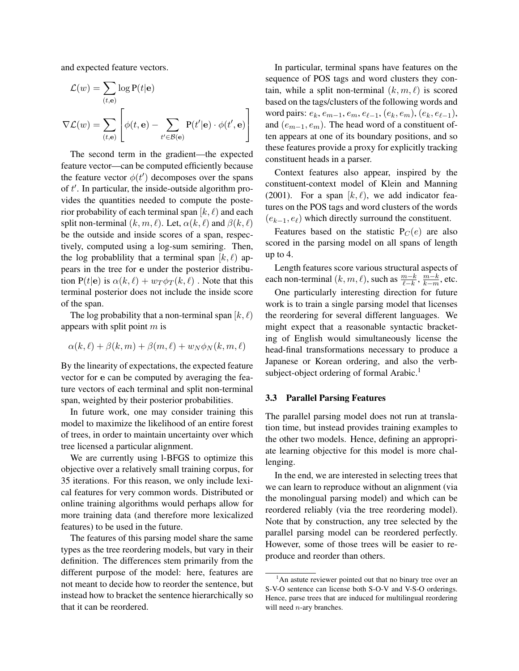and expected feature vectors.

$$
\mathcal{L}(w) = \sum_{(t,\mathbf{e})} \log P(t|\mathbf{e})
$$

$$
\nabla \mathcal{L}(w) = \sum_{(t,\mathbf{e})} \left[ \phi(t,\mathbf{e}) - \sum_{t' \in \mathcal{B}(\mathbf{e})} P(t'|\mathbf{e}) \cdot \phi(t',\mathbf{e}) \right]
$$

The second term in the gradient—the expected feature vector—can be computed efficiently because the feature vector  $\phi(t')$  decomposes over the spans of  $t'$ . In particular, the inside-outside algorithm provides the quantities needed to compute the posterior probability of each terminal span  $[k, \ell)$  and each split non-terminal  $(k, m, \ell)$ . Let,  $\alpha(k, \ell)$  and  $\beta(k, \ell)$ be the outside and inside scores of a span, respectively, computed using a log-sum semiring. Then, the log probablility that a terminal span  $[k, \ell)$  appears in the tree for e under the posterior distribution P(t|e) is  $\alpha(k, \ell) + w_T \phi_T(k, \ell)$ . Note that this terminal posterior does not include the inside score of the span.

The log probability that a non-terminal span  $[k, \ell)$ appears with split point  $m$  is

$$
\alpha(k,\ell) + \beta(k,m) + \beta(m,\ell) + w_N \phi_N(k,m,\ell)
$$

By the linearity of expectations, the expected feature vector for e can be computed by averaging the feature vectors of each terminal and split non-terminal span, weighted by their posterior probabilities.

In future work, one may consider training this model to maximize the likelihood of an entire forest of trees, in order to maintain uncertainty over which tree licensed a particular alignment.

We are currently using l-BFGS to optimize this objective over a relatively small training corpus, for 35 iterations. For this reason, we only include lexical features for very common words. Distributed or online training algorithms would perhaps allow for more training data (and therefore more lexicalized features) to be used in the future.

The features of this parsing model share the same types as the tree reordering models, but vary in their definition. The differences stem primarily from the different purpose of the model: here, features are not meant to decide how to reorder the sentence, but instead how to bracket the sentence hierarchically so that it can be reordered.

In particular, terminal spans have features on the sequence of POS tags and word clusters they contain, while a split non-terminal  $(k, m, \ell)$  is scored based on the tags/clusters of the following words and word pairs:  $e_k, e_{m-1}, e_m, e_{\ell-1}, (e_k, e_m), (e_k, e_{\ell-1}),$ and  $(e_{m-1}, e_m)$ . The head word of a constituent often appears at one of its boundary positions, and so these features provide a proxy for explicitly tracking constituent heads in a parser.

Context features also appear, inspired by the constituent-context model of Klein and Manning (2001). For a span  $[k, \ell)$ , we add indicator features on the POS tags and word clusters of the words  $(e_{k-1}, e_{\ell})$  which directly surround the constituent.

Features based on the statistic  $P_C(e)$  are also scored in the parsing model on all spans of length up to 4.

Length features score various structural aspects of each non-terminal  $(k, m, \ell)$ , such as  $\frac{m-k}{\ell-k}$ ,  $\frac{m-k}{k-m}$  $\frac{m-k}{k-m}$ , etc.

One particularly interesting direction for future work is to train a single parsing model that licenses the reordering for several different languages. We might expect that a reasonable syntactic bracketing of English would simultaneously license the head-final transformations necessary to produce a Japanese or Korean ordering, and also the verbsubject-object ordering of formal Arabic.<sup>1</sup>

### 3.3 Parallel Parsing Features

The parallel parsing model does not run at translation time, but instead provides training examples to the other two models. Hence, defining an appropriate learning objective for this model is more challenging.

In the end, we are interested in selecting trees that we can learn to reproduce without an alignment (via the monolingual parsing model) and which can be reordered reliably (via the tree reordering model). Note that by construction, any tree selected by the parallel parsing model can be reordered perfectly. However, some of those trees will be easier to reproduce and reorder than others.

 $<sup>1</sup>$ An astute reviewer pointed out that no binary tree over an</sup> S-V-O sentence can license both S-O-V and V-S-O orderings. Hence, parse trees that are induced for multilingual reordering will need *n*-ary branches.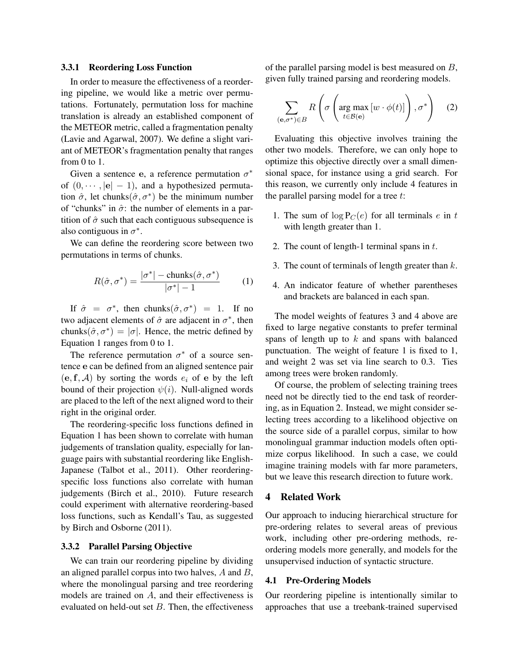#### 3.3.1 Reordering Loss Function

In order to measure the effectiveness of a reordering pipeline, we would like a metric over permutations. Fortunately, permutation loss for machine translation is already an established component of the METEOR metric, called a fragmentation penalty (Lavie and Agarwal, 2007). We define a slight variant of METEOR's fragmentation penalty that ranges from 0 to 1.

Given a sentence e, a reference permutation  $\sigma^*$ of  $(0, \dots, |\mathbf{e}| - 1)$ , and a hypothesized permutation  $\hat{\sigma}$ , let chunks $(\hat{\sigma}, \sigma^*)$  be the minimum number of "chunks" in  $\hat{\sigma}$ : the number of elements in a partition of  $\hat{\sigma}$  such that each contiguous subsequence is also contiguous in  $\sigma^*$ .

We can define the reordering score between two permutations in terms of chunks.

$$
R(\hat{\sigma}, \sigma^*) = \frac{|\sigma^*| - \text{chunks}(\hat{\sigma}, \sigma^*)}{|\sigma^*| - 1}
$$
 (1)

If  $\hat{\sigma} = \sigma^*$ , then chunks $(\hat{\sigma}, \sigma^*) = 1$ . If no two adjacent elements of  $\hat{\sigma}$  are adjacent in  $\sigma^*$ , then chunks $(\hat{\sigma}, \sigma^*) = |\sigma|$ . Hence, the metric defined by Equation 1 ranges from 0 to 1.

The reference permutation  $\sigma^*$  of a source sentence e can be defined from an aligned sentence pair  $(e, f, A)$  by sorting the words  $e_i$  of e by the left bound of their projection  $\psi(i)$ . Null-aligned words are placed to the left of the next aligned word to their right in the original order.

The reordering-specific loss functions defined in Equation 1 has been shown to correlate with human judgements of translation quality, especially for language pairs with substantial reordering like English-Japanese (Talbot et al., 2011). Other reorderingspecific loss functions also correlate with human judgements (Birch et al., 2010). Future research could experiment with alternative reordering-based loss functions, such as Kendall's Tau, as suggested by Birch and Osborne (2011).

# 3.3.2 Parallel Parsing Objective

We can train our reordering pipeline by dividing an aligned parallel corpus into two halves, A and B, where the monolingual parsing and tree reordering models are trained on A, and their effectiveness is evaluated on held-out set  $B$ . Then, the effectiveness of the parallel parsing model is best measured on B, given fully trained parsing and reordering models.

$$
\sum_{(\mathbf{e}, \sigma^*) \in B} R\left(\sigma\left(\arg\max_{t \in \mathcal{B}(\mathbf{e})} \left[w \cdot \phi(t)\right]\right), \sigma^*\right) \quad (2)
$$

Evaluating this objective involves training the other two models. Therefore, we can only hope to optimize this objective directly over a small dimensional space, for instance using a grid search. For this reason, we currently only include 4 features in the parallel parsing model for a tree  $t$ :

- 1. The sum of  $\log P_C(e)$  for all terminals e in t with length greater than 1.
- 2. The count of length-1 terminal spans in  $t$ .
- 3. The count of terminals of length greater than  $k$ .
- 4. An indicator feature of whether parentheses and brackets are balanced in each span.

The model weights of features 3 and 4 above are fixed to large negative constants to prefer terminal spans of length up to  $k$  and spans with balanced punctuation. The weight of feature 1 is fixed to 1, and weight 2 was set via line search to 0.3. Ties among trees were broken randomly.

Of course, the problem of selecting training trees need not be directly tied to the end task of reordering, as in Equation 2. Instead, we might consider selecting trees according to a likelihood objective on the source side of a parallel corpus, similar to how monolingual grammar induction models often optimize corpus likelihood. In such a case, we could imagine training models with far more parameters, but we leave this research direction to future work.

### 4 Related Work

Our approach to inducing hierarchical structure for pre-ordering relates to several areas of previous work, including other pre-ordering methods, reordering models more generally, and models for the unsupervised induction of syntactic structure.

## 4.1 Pre-Ordering Models

Our reordering pipeline is intentionally similar to approaches that use a treebank-trained supervised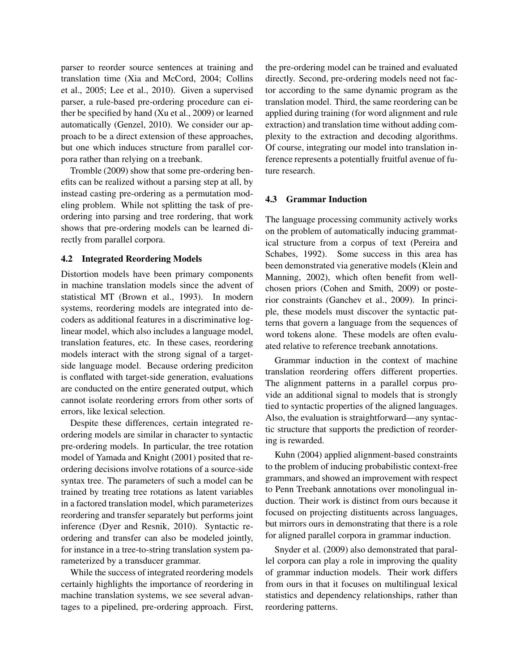parser to reorder source sentences at training and translation time (Xia and McCord, 2004; Collins et al., 2005; Lee et al., 2010). Given a supervised parser, a rule-based pre-ordering procedure can either be specified by hand (Xu et al., 2009) or learned automatically (Genzel, 2010). We consider our approach to be a direct extension of these approaches, but one which induces structure from parallel corpora rather than relying on a treebank.

Tromble (2009) show that some pre-ordering benefits can be realized without a parsing step at all, by instead casting pre-ordering as a permutation modeling problem. While not splitting the task of preordering into parsing and tree rordering, that work shows that pre-ordering models can be learned directly from parallel corpora.

# 4.2 Integrated Reordering Models

Distortion models have been primary components in machine translation models since the advent of statistical MT (Brown et al., 1993). In modern systems, reordering models are integrated into decoders as additional features in a discriminative loglinear model, which also includes a language model, translation features, etc. In these cases, reordering models interact with the strong signal of a targetside language model. Because ordering prediciton is conflated with target-side generation, evaluations are conducted on the entire generated output, which cannot isolate reordering errors from other sorts of errors, like lexical selection.

Despite these differences, certain integrated reordering models are similar in character to syntactic pre-ordering models. In particular, the tree rotation model of Yamada and Knight (2001) posited that reordering decisions involve rotations of a source-side syntax tree. The parameters of such a model can be trained by treating tree rotations as latent variables in a factored translation model, which parameterizes reordering and transfer separately but performs joint inference (Dyer and Resnik, 2010). Syntactic reordering and transfer can also be modeled jointly, for instance in a tree-to-string translation system parameterized by a transducer grammar.

While the success of integrated reordering models certainly highlights the importance of reordering in machine translation systems, we see several advantages to a pipelined, pre-ordering approach. First,

the pre-ordering model can be trained and evaluated directly. Second, pre-ordering models need not factor according to the same dynamic program as the translation model. Third, the same reordering can be applied during training (for word alignment and rule extraction) and translation time without adding complexity to the extraction and decoding algorithms. Of course, integrating our model into translation inference represents a potentially fruitful avenue of future research.

## 4.3 Grammar Induction

The language processing community actively works on the problem of automatically inducing grammatical structure from a corpus of text (Pereira and Schabes, 1992). Some success in this area has been demonstrated via generative models (Klein and Manning, 2002), which often benefit from wellchosen priors (Cohen and Smith, 2009) or posterior constraints (Ganchev et al., 2009). In principle, these models must discover the syntactic patterns that govern a language from the sequences of word tokens alone. These models are often evaluated relative to reference treebank annotations.

Grammar induction in the context of machine translation reordering offers different properties. The alignment patterns in a parallel corpus provide an additional signal to models that is strongly tied to syntactic properties of the aligned languages. Also, the evaluation is straightforward—any syntactic structure that supports the prediction of reordering is rewarded.

Kuhn (2004) applied alignment-based constraints to the problem of inducing probabilistic context-free grammars, and showed an improvement with respect to Penn Treebank annotations over monolingual induction. Their work is distinct from ours because it focused on projecting distituents across languages, but mirrors ours in demonstrating that there is a role for aligned parallel corpora in grammar induction.

Snyder et al. (2009) also demonstrated that parallel corpora can play a role in improving the quality of grammar induction models. Their work differs from ours in that it focuses on multilingual lexical statistics and dependency relationships, rather than reordering patterns.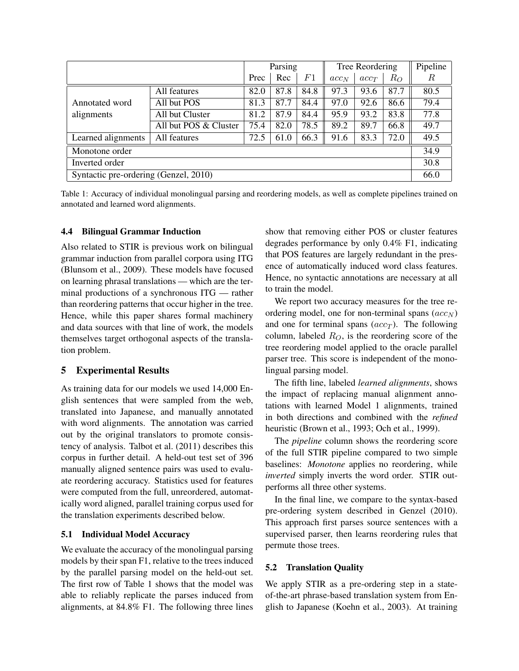|                                       |                       |      | Parsing |                | Tree Reordering |         | Pipeline |      |
|---------------------------------------|-----------------------|------|---------|----------------|-----------------|---------|----------|------|
|                                       |                       | Prec | Rec     | F <sub>1</sub> | $acc_{N}$       | $acc_T$ | $R_O$    | R    |
| Annotated word<br>alignments          | All features          | 82.0 | 87.8    | 84.8           | 97.3            | 93.6    | 87.7     | 80.5 |
|                                       | All but POS           | 81.3 | 87.7    | 84.4           | 97.0            | 92.6    | 86.6     | 79.4 |
|                                       | All but Cluster       | 81.2 | 87.9    | 84.4           | 95.9            | 93.2    | 83.8     | 77.8 |
|                                       | All but POS & Cluster | 75.4 | 82.0    | 78.5           | 89.2            | 89.7    | 66.8     | 49.7 |
| Learned alignments                    | All features          | 72.5 | 61.0    | 66.3           | 91.6            | 83.3    | 72.0     | 49.5 |
| Monotone order                        |                       |      |         |                |                 |         | 34.9     |      |
| Inverted order                        |                       |      |         |                |                 |         | 30.8     |      |
| Syntactic pre-ordering (Genzel, 2010) |                       |      |         |                |                 |         |          | 66.0 |

Table 1: Accuracy of individual monolingual parsing and reordering models, as well as complete pipelines trained on annotated and learned word alignments.

## 4.4 Bilingual Grammar Induction

Also related to STIR is previous work on bilingual grammar induction from parallel corpora using ITG (Blunsom et al., 2009). These models have focused on learning phrasal translations — which are the terminal productions of a synchronous ITG — rather than reordering patterns that occur higher in the tree. Hence, while this paper shares formal machinery and data sources with that line of work, the models themselves target orthogonal aspects of the translation problem.

# 5 Experimental Results

As training data for our models we used 14,000 English sentences that were sampled from the web, translated into Japanese, and manually annotated with word alignments. The annotation was carried out by the original translators to promote consistency of analysis. Talbot et al. (2011) describes this corpus in further detail. A held-out test set of 396 manually aligned sentence pairs was used to evaluate reordering accuracy. Statistics used for features were computed from the full, unreordered, automatically word aligned, parallel training corpus used for the translation experiments described below.

### 5.1 Individual Model Accuracy

We evaluate the accuracy of the monolingual parsing models by their span F1, relative to the trees induced by the parallel parsing model on the held-out set. The first row of Table 1 shows that the model was able to reliably replicate the parses induced from alignments, at 84.8% F1. The following three lines show that removing either POS or cluster features degrades performance by only 0.4% F1, indicating that POS features are largely redundant in the presence of automatically induced word class features. Hence, no syntactic annotations are necessary at all to train the model.

We report two accuracy measures for the tree reordering model, one for non-terminal spans  $(acc_N)$ and one for terminal spans  $(acc<sub>T</sub>)$ . The following column, labeled  $R_O$ , is the reordering score of the tree reordering model applied to the oracle parallel parser tree. This score is independent of the monolingual parsing model.

The fifth line, labeled *learned alignments*, shows the impact of replacing manual alignment annotations with learned Model 1 alignments, trained in both directions and combined with the *refined* heuristic (Brown et al., 1993; Och et al., 1999).

The *pipeline* column shows the reordering score of the full STIR pipeline compared to two simple baselines: *Monotone* applies no reordering, while *inverted* simply inverts the word order. STIR outperforms all three other systems.

In the final line, we compare to the syntax-based pre-ordering system described in Genzel (2010). This approach first parses source sentences with a supervised parser, then learns reordering rules that permute those trees.

#### 5.2 Translation Quality

We apply STIR as a pre-ordering step in a stateof-the-art phrase-based translation system from English to Japanese (Koehn et al., 2003). At training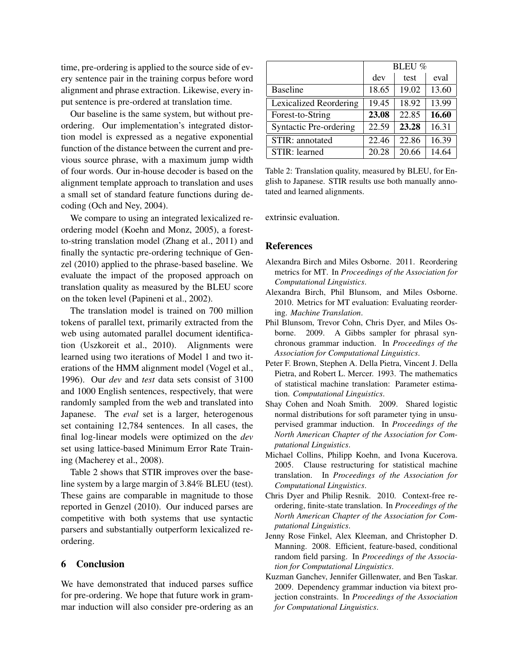time, pre-ordering is applied to the source side of every sentence pair in the training corpus before word alignment and phrase extraction. Likewise, every input sentence is pre-ordered at translation time.

Our baseline is the same system, but without preordering. Our implementation's integrated distortion model is expressed as a negative exponential function of the distance between the current and previous source phrase, with a maximum jump width of four words. Our in-house decoder is based on the alignment template approach to translation and uses a small set of standard feature functions during decoding (Och and Ney, 2004).

We compare to using an integrated lexicalized reordering model (Koehn and Monz, 2005), a forestto-string translation model (Zhang et al., 2011) and finally the syntactic pre-ordering technique of Genzel (2010) applied to the phrase-based baseline. We evaluate the impact of the proposed approach on translation quality as measured by the BLEU score on the token level (Papineni et al., 2002).

The translation model is trained on 700 million tokens of parallel text, primarily extracted from the web using automated parallel document identification (Uszkoreit et al., 2010). Alignments were learned using two iterations of Model 1 and two iterations of the HMM alignment model (Vogel et al., 1996). Our *dev* and *test* data sets consist of 3100 and 1000 English sentences, respectively, that were randomly sampled from the web and translated into Japanese. The *eval* set is a larger, heterogenous set containing 12,784 sentences. In all cases, the final log-linear models were optimized on the *dev* set using lattice-based Minimum Error Rate Training (Macherey et al., 2008).

Table 2 shows that STIR improves over the baseline system by a large margin of 3.84% BLEU (test). These gains are comparable in magnitude to those reported in Genzel (2010). Our induced parses are competitive with both systems that use syntactic parsers and substantially outperform lexicalized reordering.

# 6 Conclusion

We have demonstrated that induced parses suffice for pre-ordering. We hope that future work in grammar induction will also consider pre-ordering as an

|                               | <b>BLEU %</b> |       |       |  |  |
|-------------------------------|---------------|-------|-------|--|--|
|                               | dev           | test  | eval  |  |  |
| <b>Baseline</b>               | 18.65         | 19.02 | 13.60 |  |  |
| <b>Lexicalized Reordering</b> | 19.45         | 18.92 | 13.99 |  |  |
| Forest-to-String              | 23.08         | 22.85 | 16.60 |  |  |
| <b>Syntactic Pre-ordering</b> | 22.59         | 23.28 | 16.31 |  |  |
| STIR: annotated               | 22.46         | 22.86 | 16.39 |  |  |
| STIR: learned                 | 20.28         | 20.66 | 14.64 |  |  |

Table 2: Translation quality, measured by BLEU, for English to Japanese. STIR results use both manually annotated and learned alignments.

extrinsic evaluation.

# **References**

- Alexandra Birch and Miles Osborne. 2011. Reordering metrics for MT. In *Proceedings of the Association for Computational Linguistics*.
- Alexandra Birch, Phil Blunsom, and Miles Osborne. 2010. Metrics for MT evaluation: Evaluating reordering. *Machine Translation*.
- Phil Blunsom, Trevor Cohn, Chris Dyer, and Miles Osborne. 2009. A Gibbs sampler for phrasal synchronous grammar induction. In *Proceedings of the Association for Computational Linguistics*.
- Peter F. Brown, Stephen A. Della Pietra, Vincent J. Della Pietra, and Robert L. Mercer. 1993. The mathematics of statistical machine translation: Parameter estimation. *Computational Linguistics*.
- Shay Cohen and Noah Smith. 2009. Shared logistic normal distributions for soft parameter tying in unsupervised grammar induction. In *Proceedings of the North American Chapter of the Association for Computational Linguistics*.
- Michael Collins, Philipp Koehn, and Ivona Kucerova. 2005. Clause restructuring for statistical machine translation. In *Proceedings of the Association for Computational Linguistics*.
- Chris Dyer and Philip Resnik. 2010. Context-free reordering, finite-state translation. In *Proceedings of the North American Chapter of the Association for Computational Linguistics*.
- Jenny Rose Finkel, Alex Kleeman, and Christopher D. Manning. 2008. Efficient, feature-based, conditional random field parsing. In *Proceedings of the Association for Computational Linguistics*.
- Kuzman Ganchev, Jennifer Gillenwater, and Ben Taskar. 2009. Dependency grammar induction via bitext projection constraints. In *Proceedings of the Association for Computational Linguistics*.